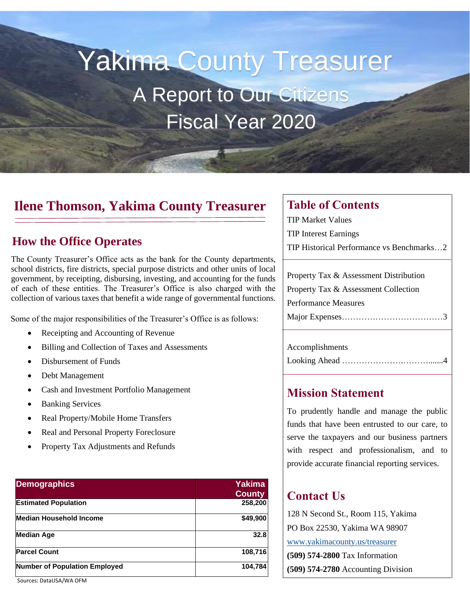# Yakima County Treasurer A Report to Our Citizens Fiscal Year 2020

### **Ilene Thomson, Yakima County Treasurer**

### **How the Office Operates**

The County Treasurer's Office acts as the bank for the County departments, school districts, fire districts, special purpose districts and other units of local government, by receipting, disbursing, investing, and accounting for the funds of each of these entities. The Treasurer's Office is also charged with the collection of various taxes that benefit a wide range of governmental functions.

Some of the major responsibilities of the Treasurer's Office is as follows:

- Receipting and Accounting of Revenue
- Billing and Collection of Taxes and Assessments
- Disbursement of Funds
- Debt Management
- Cash and Investment Portfolio Management
- Banking Services
- Real Property/Mobile Home Transfers
- Real and Personal Property Foreclosure
- Property Tax Adjustments and Refunds

| <b>Demographics</b>                  | <b>Yakima</b><br><b>County</b> |
|--------------------------------------|--------------------------------|
| <b>Estimated Population</b>          | 258,200                        |
| <b>Median Household Income</b>       | \$49,900                       |
| <b>Median Age</b>                    | 32.8                           |
| <b>Parcel Count</b>                  | 108,716                        |
| <b>Number of Population Employed</b> | 104,784                        |

Sources: DataUSA/WA OFM

### **Table of Contents**

TIP Market Values TIP Interest Earnings

TIP Historical Performance vs Benchmarks…2

| Property Tax & Assessment Distribution |
|----------------------------------------|
| Property Tax & Assessment Collection   |
| Performance Measures                   |
|                                        |
|                                        |

### Accomplishments Looking Ahead …………………………

### **Mission Statement**

To prudently handle and manage the public funds that have been entrusted to our care, to serve the taxpayers and our business partners with respect and professionalism, and to provide accurate financial reporting services.

### **Contact Us**

128 N Second St., Room 115, Yakima PO Box 22530, Yakima WA 98907 [www.yakimacounty.us/treasurer](http://www.yakimacounty.us/treasurer) **(509) 574-2800** Tax Information **(509) 574-2780** Accounting Division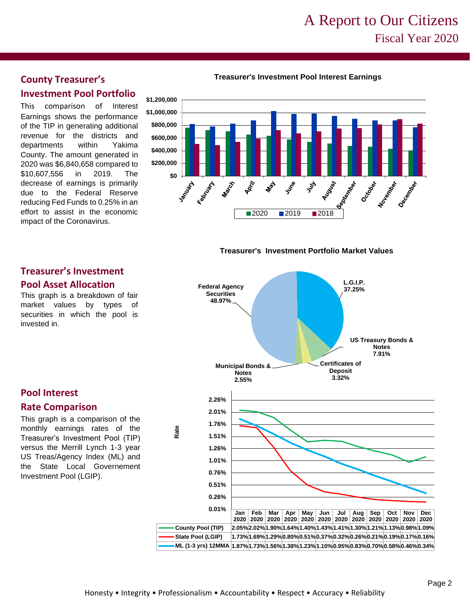### A Report to Our Citizens Fiscal Year 2020

#### **Treasurer's Investment Pool Interest Earnings**



This comparison of Interest Earnings shows the performance of the TIP in generating additional revenue for the districts and departments within Yakima County. The amount generated in 2020 was \$6,840,658 compared to \$10,607,556 in 2019. The decrease of earnings is primarily due to the Federal Reserve reducing Fed Funds to 0.25% in an effort to assist in the economic impact of the Coronavirus.





#### **Jan 2020 Feb 2020 Mar 2020 Apr 2020 May 2020 Jun 2020 Jul 2020 Aug 2020 Sep 2020 Oct 2020 Nov 2020 Dec 2020 County Pool (TIP) 2.05%2.02%1.90%1.64%1.40%1.43%1.41%1.30%1.21%1.13%0.98%1.09% State Pool (LGIP) 1.73%1.69%1.29%0.80%0.51%0.37%0.32%0.26%0.21%0.19%0.17%0.16% ML (1-3 yrs) 12MMA 1.87%1.73%1.56%1.38%1.23%1.10%0.95%0.83%0.70%0.58%0.46%0.34% 0.01% 0.26% 0.51% 0.76% 1.01% 1.26% 1.51% 1.76% 2.01% 2.26% Rate County Pool (TIP) -**  $\frac{1}{2}$  -  $\frac{1}{2}$  -  $\frac{1}{2}$  -  $\frac{1}{2}$  -  $\frac{1}{2}$  -  $\frac{1}{2}$  -  $\frac{1}{2}$  -  $\frac{1}{2}$  -  $\frac{1}{2}$  -  $\frac{1}{2}$  -  $\frac{1}{2}$  -  $\frac{1}{2}$  -  $\frac{1}{2}$  -  $\frac{1}{2}$  -  $\frac{1}{2}$  -  $\frac{1}{2}$  -  $\frac{1}{2}$ **L.G.I.P. 37.25% US Treasury Bonds & Notes 7.91% Certificates of Deposit 3.32% Municipal Bonds & Notes 2.55% Federal Agency Securities 48.97%**

### **Treasurer's Investment Pool Asset Allocation**

This graph is a breakdown of fair market values by types of securities in which the pool is invested in.

### **Pool Interest**

#### **Rate Comparison**

This graph is a comparison of the monthly earnings rates of the Treasurer's Investment Pool (TIP) versus the Merrill Lynch 1-3 year US Treas/Agency Index (ML) and the State Local Governement Investment Pool (LGIP).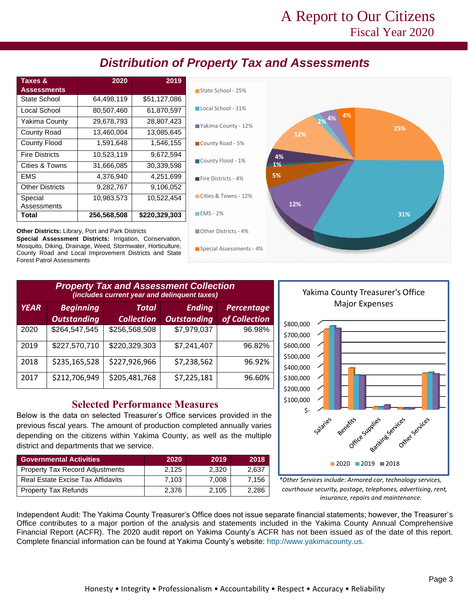### A Report to Our Citizens Fiscal Year 2020

### *Distribution of Property Tax and Assessments*

| Taxes &<br><b>Assessments</b> | 2020        | 2019          |
|-------------------------------|-------------|---------------|
| State School                  | 64,498,119  | \$51,127,086  |
| Local School                  | 80,507,460  | 61,870,597    |
| Yakima County                 | 29,678,793  | 28,807,423    |
| County Road                   | 13,460,004  | 13,085,645    |
| <b>County Flood</b>           | 1,591,648   | 1,546,155     |
| <b>Fire Districts</b>         | 10,523,119  | 9,672,594     |
| Cities & Towns                | 31,666,085  | 30,339,598    |
| <b>EMS</b>                    | 4,376,940   | 4,251,699     |
| <b>Other Districts</b>        | 9,282,767   | 9,106,052     |
| Special<br>Assessments        | 10,983,573  | 10,522,454    |
| Total                         | 256,568,508 | \$220,329,303 |



**Other Districts:** Library, Port and Park Districts **Special Assessment Districts:** Irrigation, Conservation, Mosquito, Diking, Drainage, Weed, Stormwater, Horticulture, County Road and Local Improvement Districts and State Forest Patrol Assessments

| <b>Property Tax and Assessment Collection</b><br>(includes current year and delinquent taxes) |                                        |                            |                                     |                             |  |  |  |
|-----------------------------------------------------------------------------------------------|----------------------------------------|----------------------------|-------------------------------------|-----------------------------|--|--|--|
| <b>YEAR</b>                                                                                   | <b>Beginning</b><br><b>Outstanding</b> | Total<br><b>Collection</b> | <b>Ending</b><br><b>Outstanding</b> | Percentage<br>of Collection |  |  |  |
| 2020                                                                                          | \$264,547,545                          | \$256,568,508              | \$7,979,037                         | 96.98%                      |  |  |  |
| 2019                                                                                          | \$227,570,710                          | \$220,329,303              | \$7,241,407                         | 96.82%                      |  |  |  |
| 2018                                                                                          | \$235,165,528                          | \$227,926,966              | \$7,238,562                         | 96.92%                      |  |  |  |
| 2017                                                                                          | \$212,706,949                          | \$205,481,768              | \$7,225,181                         | 96.60%                      |  |  |  |

### **Selected Performance Measures**

Below is the data on selected Treasurer's Office services provided in the previous fiscal years. The amount of production completed annually varies depending on the citizens within Yakima County, as well as the multiple district and departments that we service.

| <b>Governmental Activities</b>         | 2020  | 2019  | 2018  |
|----------------------------------------|-------|-------|-------|
| <b>Property Tax Record Adjustments</b> | 2.125 | 2.320 | 2.637 |
| Real Estate Excise Tax Affidavits      | 7.103 | 7.008 | 7.156 |
| <b>Property Tax Refunds</b>            | 2.376 | 2.105 | 2,286 |



*\*Other Services include: Armored car, technology services, courthouse security, postage, telephones, advertising, rent, insurance, repairs and maintenance.*

Independent Audit: The Yakima County Treasurer's Office does not issue separate financial statements; however, the Treasurer's Office contributes to a major portion of the analysis and statements included in the Yakima County Annual Comprehensive Financial Report (ACFR). The 2020 audit report on Yakima County's ACFR has not been issued as of the date of this report. Complete financial information can be found at Yakima County's website: http://www.yakimacounty.us.